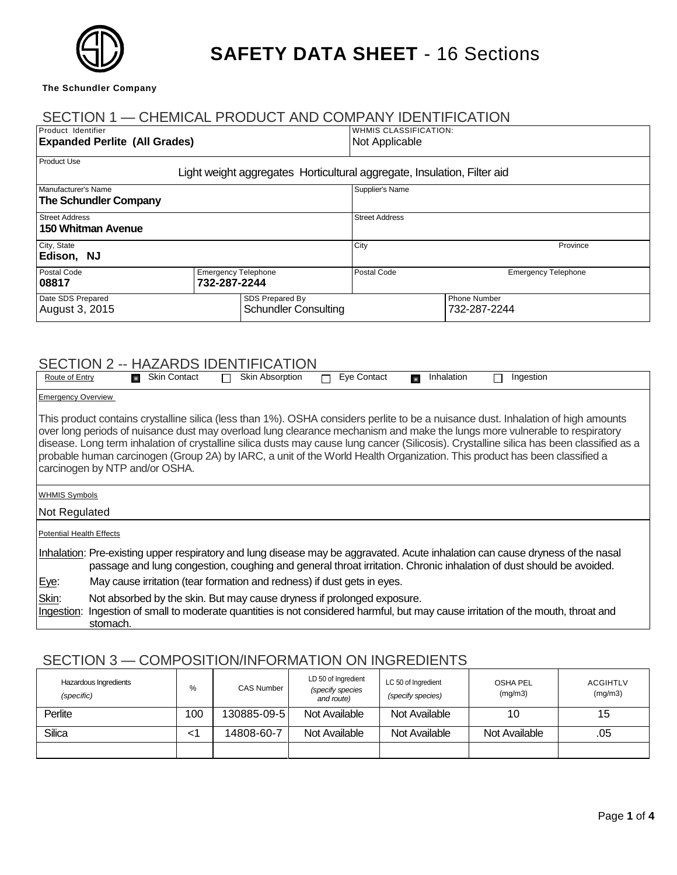

## **SAFETY DATA SHEET** - 16 Sections

**The Schundler Company**

stomach.

|                                                                                                                                                                                                                      |                          | SECTION 1 - CHEMICAL PRODUCT AND COMPANY IDENTIFICATION                 |                  |                                                                                                                                                                                                                                                                                                                                                                                                                                                                                                                                                                          |
|----------------------------------------------------------------------------------------------------------------------------------------------------------------------------------------------------------------------|--------------------------|-------------------------------------------------------------------------|------------------|--------------------------------------------------------------------------------------------------------------------------------------------------------------------------------------------------------------------------------------------------------------------------------------------------------------------------------------------------------------------------------------------------------------------------------------------------------------------------------------------------------------------------------------------------------------------------|
| Product Identifier<br><b>Expanded Perlite (All Grades)</b>                                                                                                                                                           |                          | <b>WHMIS CLASSIFICATION:</b><br>Not Applicable                          |                  |                                                                                                                                                                                                                                                                                                                                                                                                                                                                                                                                                                          |
| Product Use                                                                                                                                                                                                          |                          | Light weight aggregates Horticultural aggregate, Insulation, Filter aid |                  |                                                                                                                                                                                                                                                                                                                                                                                                                                                                                                                                                                          |
| Manufacturer's Name<br><b>The Schundler Company</b><br><b>Street Address</b><br><b>150 Whitman Avenue</b>                                                                                                            |                          | Supplier's Name<br><b>Street Address</b>                                |                  |                                                                                                                                                                                                                                                                                                                                                                                                                                                                                                                                                                          |
|                                                                                                                                                                                                                      |                          |                                                                         |                  |                                                                                                                                                                                                                                                                                                                                                                                                                                                                                                                                                                          |
| Postal Code<br>08817                                                                                                                                                                                                 | 732-287-2244             | <b>Emergency Telephone</b>                                              | Postal Code      | <b>Emergency Telephone</b>                                                                                                                                                                                                                                                                                                                                                                                                                                                                                                                                               |
| Date SDS Prepared<br>August 3, 2015                                                                                                                                                                                  |                          | SDS Prepared By<br><b>Schundler Consulting</b>                          |                  | <b>Phone Number</b><br>732-287-2244                                                                                                                                                                                                                                                                                                                                                                                                                                                                                                                                      |
| SECTION 2 -- HAZARDS IDENTIFICATION<br>Route of Entry<br><b>Emergency Overview</b><br>carcinogen by NTP and/or OSHA.                                                                                                 | <b>Rev.</b> Skin Contact | <b>Skin Absorption</b><br>$\Box$                                        | Eye Contact<br>п | Inhalation<br>Ingestion<br>П<br>This product contains crystalline silica (less than 1%). OSHA considers perlite to be a nuisance dust. Inhalation of high amounts<br>over long periods of nuisance dust may overload lung clearance mechanism and make the lungs more vulnerable to respiratory<br>disease. Long term inhalation of crystalline silica dusts may cause lung cancer (Silicosis). Crystalline silica has been classified as a<br>probable human carcinogen (Group 2A) by IARC, a unit of the World Health Organization. This product has been classified a |
| <b>WHMIS Symbols</b><br>Not Regulated                                                                                                                                                                                |                          |                                                                         |                  |                                                                                                                                                                                                                                                                                                                                                                                                                                                                                                                                                                          |
| <b>Potential Health Effects</b>                                                                                                                                                                                      |                          |                                                                         |                  |                                                                                                                                                                                                                                                                                                                                                                                                                                                                                                                                                                          |
| <u>Eye</u> :                                                                                                                                                                                                         |                          | May cause irritation (tear formation and redness) if dust gets in eyes. |                  | Inhalation: Pre-existing upper respiratory and lung disease may be aggravated. Acute inhalation can cause dryness of the nasal<br>passage and lung congestion, coughing and general throat irritation. Chronic inhalation of dust should be avoided.                                                                                                                                                                                                                                                                                                                     |
| Skin:<br>Not absorbed by the skin. But may cause dryness if prolonged exposure.<br>Ingestion: Ingestion of small to moderate quantities is not considered harmful, but may cause irritation of the mouth, throat and |                          |                                                                         |                  |                                                                                                                                                                                                                                                                                                                                                                                                                                                                                                                                                                          |

#### SECTION 3 — COMPOSITION/INFORMATION ON INGREDIENTS

| Hazardous Ingredients<br>(specific) | %   | <b>CAS Number</b> | LD 50 of Ingredient<br>(specify species<br>and route) | LC 50 of Ingredient<br>(specify species) | <b>OSHA PEL</b><br>(mg/m3) | <b>ACGIHTLV</b><br>(mg/m3) |
|-------------------------------------|-----|-------------------|-------------------------------------------------------|------------------------------------------|----------------------------|----------------------------|
| Perlite                             | 100 | 130885-09-5       | Not Available                                         | Not Available                            | 10                         | 15                         |
| Silica                              |     | 14808-60-7        | Not Available                                         | Not Available                            | Not Available              | .05                        |
|                                     |     |                   |                                                       |                                          |                            |                            |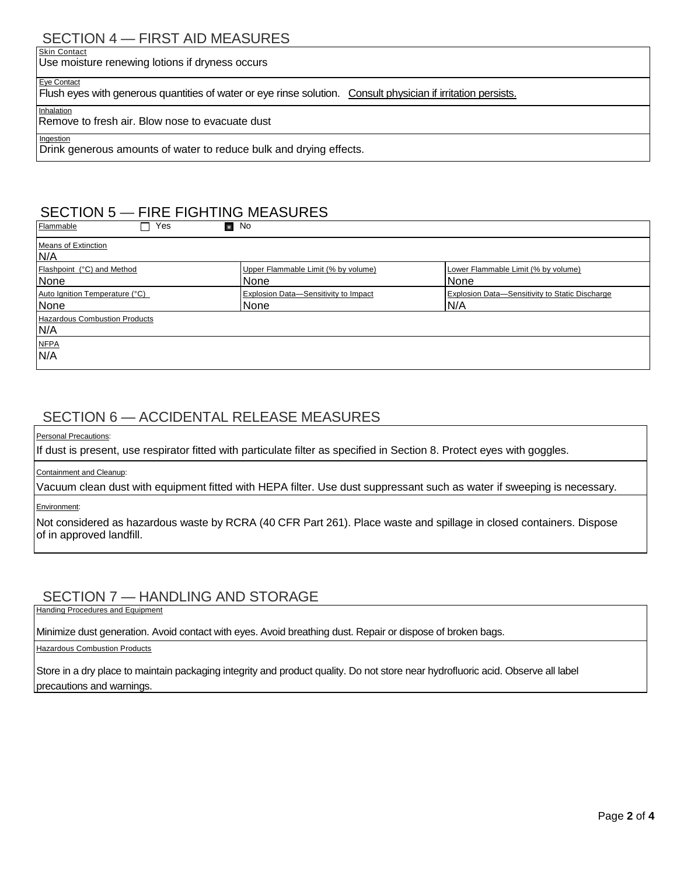## SECTION 4 — FIRST AID MEASURES

**Skin Contact** Use moisture renewing lotions if dryness occurs

Eye Contact

Flush eyes with generous quantities of water or eye rinse solution. Consult physician if irritation persists.

**Inhalation** 

Remove to fresh air. Blow nose to evacuate dust

Ingestion

Drink generous amounts of water to reduce bulk and drying effects.

## SECTION 5 — FIRE FIGHTING MEASURES

| Flammable<br>Yes<br>п                       | No                                           |                                                       |
|---------------------------------------------|----------------------------------------------|-------------------------------------------------------|
| <b>Means of Extinction</b><br>N/A           |                                              |                                                       |
| Flashpoint (°C) and Method<br>None          | Upper Flammable Limit (% by volume)<br>None  | Lower Flammable Limit (% by volume)<br>None           |
| Auto Ignition Temperature (°C)<br>None      | Explosion Data-Sensitivity to Impact<br>None | Explosion Data-Sensitivity to Static Discharge<br>N/A |
| <b>Hazardous Combustion Products</b><br>N/A |                                              |                                                       |
| <b>NFPA</b><br>N/A                          |                                              |                                                       |

#### SECTION 6 — ACCIDENTAL RELEASE MEASURES

**Personal Precautions:** 

If dust is present, use respirator fitted with particulate filter as specified in Section 8. Protect eyes with goggles.

#### Containment and Cleanup:

Vacuum clean dust with equipment fitted with HEPA filter. Use dust suppressant such as water if sweeping is necessary.

Environment:

Not considered as hazardous waste by RCRA (40 CFR Part 261). Place waste and spillage in closed containers. Dispose of in approved landfill.

#### SECTION 7 — HANDLING AND STORAGE

Handing Procedures and Equipment

Minimize dust generation. Avoid contact with eyes. Avoid breathing dust. Repair or dispose of broken bags.

**Hazardous Combustion Products** 

Store in a dry place to maintain packaging integrity and product quality. Do not store near hydrofluoric acid. Observe all label precautions and warnings.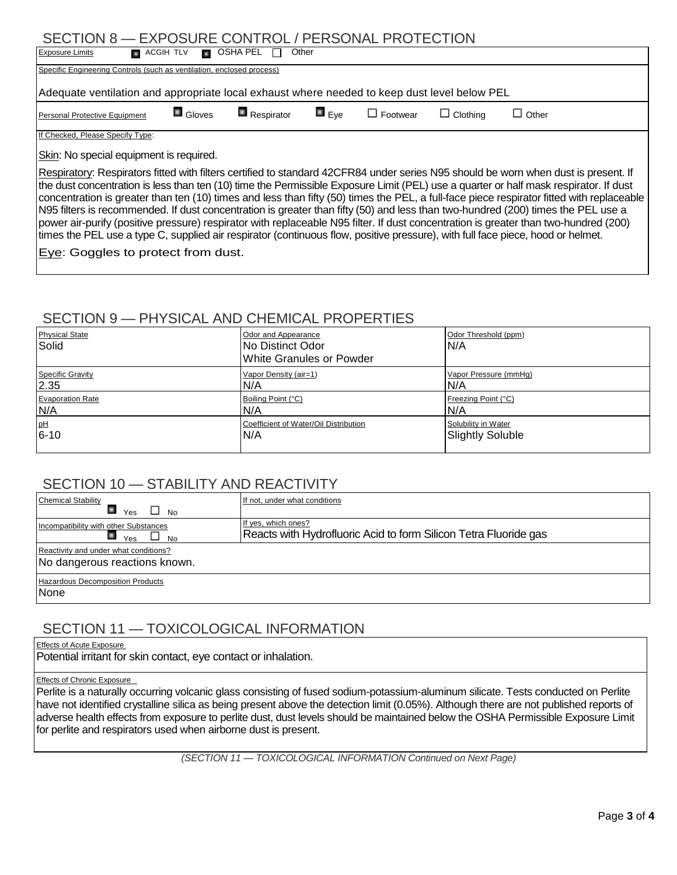## SECTION 8 — EXPOSURE CONTROL / PERSONAL PROTECTION

| ULUTIVI V<br>LAI UUUNE UUNTINUE / FENUUNAE FINUTEUTIUN                                                                                                                                                                                                                                                                                                                                                                                                                                                                                                                                                                                                                                                                                                                                                                                   |                       |                           |                    |                 |                 |              |
|------------------------------------------------------------------------------------------------------------------------------------------------------------------------------------------------------------------------------------------------------------------------------------------------------------------------------------------------------------------------------------------------------------------------------------------------------------------------------------------------------------------------------------------------------------------------------------------------------------------------------------------------------------------------------------------------------------------------------------------------------------------------------------------------------------------------------------------|-----------------------|---------------------------|--------------------|-----------------|-----------------|--------------|
| <b>Exposure Limits</b><br>$\Box$ OSHA PEL $\Box$<br>Other<br>$\blacksquare$ ACGIH TLV                                                                                                                                                                                                                                                                                                                                                                                                                                                                                                                                                                                                                                                                                                                                                    |                       |                           |                    |                 |                 |              |
| Specific Engineering Controls (such as ventilation, enclosed process)                                                                                                                                                                                                                                                                                                                                                                                                                                                                                                                                                                                                                                                                                                                                                                    |                       |                           |                    |                 |                 |              |
| Adequate ventilation and appropriate local exhaust where needed to keep dust level below PEL                                                                                                                                                                                                                                                                                                                                                                                                                                                                                                                                                                                                                                                                                                                                             |                       |                           |                    |                 |                 |              |
| Personal Protective Equipment                                                                                                                                                                                                                                                                                                                                                                                                                                                                                                                                                                                                                                                                                                                                                                                                            | $\blacksquare$ Gloves | $\blacksquare$ Respirator | $\blacksquare$ Eve | $\Box$ Footwear | $\Box$ Clothing | $\Box$ Other |
| If Checked, Please Specify Type:                                                                                                                                                                                                                                                                                                                                                                                                                                                                                                                                                                                                                                                                                                                                                                                                         |                       |                           |                    |                 |                 |              |
| Skin: No special equipment is required.                                                                                                                                                                                                                                                                                                                                                                                                                                                                                                                                                                                                                                                                                                                                                                                                  |                       |                           |                    |                 |                 |              |
| Respiratory: Respirators fitted with filters certified to standard 42CFR84 under series N95 should be worn when dust is present. If<br>the dust concentration is less than ten (10) time the Permissible Exposure Limit (PEL) use a quarter or half mask respirator. If dust<br>concentration is greater than ten (10) times and less than fifty (50) times the PEL, a full-face piece respirator fitted with replaceable<br>N95 filters is recommended. If dust concentration is greater than fifty (50) and less than two-hundred (200) times the PEL use a<br>power air-purify (positive pressure) respirator with replaceable N95 filter. If dust concentration is greater than two-hundred (200)<br>times the PEL use a type C, supplied air respirator (continuous flow, positive pressure), with full face piece, hood or helmet. |                       |                           |                    |                 |                 |              |
| <b>Eye:</b> Goggles to protect from dust.                                                                                                                                                                                                                                                                                                                                                                                                                                                                                                                                                                                                                                                                                                                                                                                                |                       |                           |                    |                 |                 |              |

#### SECTION 9 — PHYSICAL AND CHEMICAL PROPERTIES

| <b>Physical State</b><br>Solid | Odor and Appearance<br>No Distinct Odor<br>White Granules or Powder | Odor Threshold (ppm)<br>N/A |
|--------------------------------|---------------------------------------------------------------------|-----------------------------|
| <b>Specific Gravity</b>        | Vapor Density (air=1)                                               | Vapor Pressure (mmHq)       |
| 2.35                           | IN/A                                                                | N/A                         |
| <b>Evaporation Rate</b>        | Boiling Point (°C)                                                  | Freezing Point (°C)         |
| N/A                            | N/A                                                                 | N/A                         |
| pH                             | Coefficient of Water/Oil Distribution                               | Solubility in Water         |
| $6 - 10$                       | N/A                                                                 | <b>Slightly Soluble</b>     |

#### SECTION 10 - STABILITY AND REACTIVITY

| <b>Chemical Stability</b><br>Yes<br>No                                 | If not, under what conditions                                                           |
|------------------------------------------------------------------------|-----------------------------------------------------------------------------------------|
| Incompatibility with other Substances<br>Yes<br><b>No</b>              | If yes, which ones?<br>Reacts with Hydrofluoric Acid to form Silicon Tetra Fluoride gas |
| Reactivity and under what conditions?<br>No dangerous reactions known. |                                                                                         |
| <b>Hazardous Decomposition Products</b><br><b>None</b>                 |                                                                                         |

#### SECTION 11 — TOXICOLOGICAL INFORMATION

Effects of Acute Exposure

Potential irritant for skin contact, eye contact or inhalation.

#### Effects of Chronic Exposure

Perlite is a naturally occurring volcanic glass consisting of fused sodium-potassium-aluminum silicate. Tests conducted on Perlite have not identified crystalline silica as being present above the detection limit (0.05%). Although there are not published reports of adverse health effects from exposure to perlite dust, dust levels should be maintained below the OSHA Permissible Exposure Limit for perlite and respirators used when airborne dust is present.

*(SECTION 11 — TOXICOLOGICAL INFORMATION Continued on Next Page)*